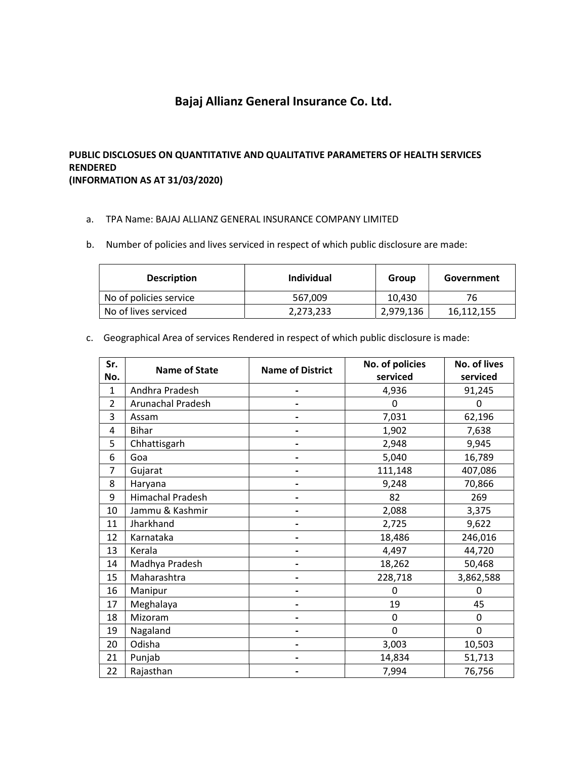## Bajaj Allianz General Insurance Co. Ltd.

## PUBLIC DISCLOSUES ON QUANTITATIVE AND QUALITATIVE PARAMETERS OF HEALTH SERVICES RENDERED (INFORMATION AS AT 31/03/2020)

- a. TPA Name: BAJAJ ALLIANZ GENERAL INSURANCE COMPANY LIMITED
- b. Number of policies and lives serviced in respect of which public disclosure are made:

| <b>Description</b>     | Individual | Group     | Government |
|------------------------|------------|-----------|------------|
| No of policies service | 567,009    | 10.430    | 76         |
| No of lives serviced   | 2,273,233  | 2,979,136 | 16,112,155 |

c. Geographical Area of services Rendered in respect of which public disclosure is made:

| Sr.<br>No.     | <b>Name of State</b> | <b>Name of District</b> | No. of policies<br>serviced | No. of lives<br>serviced |
|----------------|----------------------|-------------------------|-----------------------------|--------------------------|
| $\mathbf{1}$   | Andhra Pradesh       |                         | 4,936                       | 91,245                   |
| $\overline{2}$ | Arunachal Pradesh    |                         | 0                           | 0                        |
| 3              | Assam                |                         | 7,031                       | 62,196                   |
| 4              | <b>Bihar</b>         |                         | 1,902                       | 7,638                    |
| 5              | Chhattisgarh         |                         | 2,948                       | 9,945                    |
| 6              | Goa                  |                         | 5,040                       | 16,789                   |
| $\overline{7}$ | Gujarat              |                         | 111,148                     | 407,086                  |
| 8              | Haryana              |                         | 9,248                       | 70,866                   |
| 9              | Himachal Pradesh     |                         | 82                          | 269                      |
| 10             | Jammu & Kashmir      |                         | 2,088                       | 3,375                    |
| 11             | Jharkhand            |                         | 2,725                       | 9,622                    |
| 12             | Karnataka            |                         | 18,486                      | 246,016                  |
| 13             | Kerala               |                         | 4,497                       | 44,720                   |
| 14             | Madhya Pradesh       |                         | 18,262                      | 50,468                   |
| 15             | Maharashtra          |                         | 228,718                     | 3,862,588                |
| 16             | Manipur              |                         | 0                           | 0                        |
| 17             | Meghalaya            |                         | 19                          | 45                       |
| 18             | Mizoram              |                         | 0                           | $\mathbf 0$              |
| 19             | Nagaland             |                         | 0                           | $\mathbf 0$              |
| 20             | Odisha               |                         | 3,003                       | 10,503                   |
| 21             | Punjab               |                         | 14,834                      | 51,713                   |
| 22             | Rajasthan            |                         | 7,994                       | 76,756                   |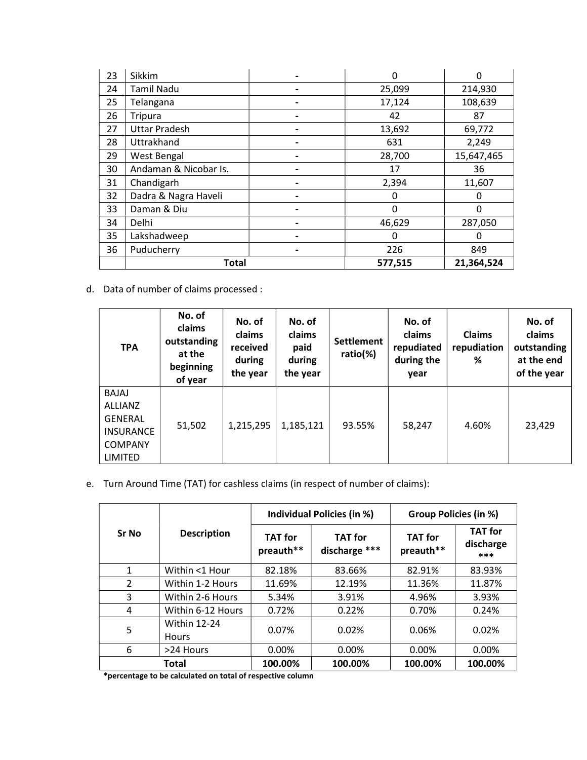| 23 | Sikkim                | O       | 0          |
|----|-----------------------|---------|------------|
| 24 | <b>Tamil Nadu</b>     | 25,099  | 214,930    |
| 25 | Telangana             | 17,124  | 108,639    |
| 26 | <b>Tripura</b>        | 42      | 87         |
| 27 | <b>Uttar Pradesh</b>  | 13,692  | 69,772     |
| 28 | Uttrakhand            | 631     | 2,249      |
| 29 | West Bengal           | 28,700  | 15,647,465 |
| 30 | Andaman & Nicobar Is. | 17      | 36         |
| 31 | Chandigarh            | 2,394   | 11,607     |
| 32 | Dadra & Nagra Haveli  | 0       | 0          |
| 33 | Daman & Diu           | 0       | $\Omega$   |
| 34 | Delhi                 | 46,629  | 287,050    |
| 35 | Lakshadweep           | O       | 0          |
| 36 | Puducherry            | 226     | 849        |
|    | <b>Total</b>          | 577,515 | 21,364,524 |

d. Data of number of claims processed :

| <b>TPA</b>                                                                                        | No. of<br>claims<br>outstanding<br>at the<br>beginning<br>of year | No. of<br>claims<br>received<br>during<br>the year | No. of<br>claims<br>paid<br>during<br>the year | <b>Settlement</b><br>ratio(%) | No. of<br>claims<br>repudiated<br>during the<br>year | <b>Claims</b><br>repudiation<br>% | No. of<br>claims<br>outstanding<br>at the end<br>of the year |
|---------------------------------------------------------------------------------------------------|-------------------------------------------------------------------|----------------------------------------------------|------------------------------------------------|-------------------------------|------------------------------------------------------|-----------------------------------|--------------------------------------------------------------|
| BAJAJ<br><b>ALLIANZ</b><br><b>GENERAL</b><br><b>INSURANCE</b><br><b>COMPANY</b><br><b>LIMITED</b> | 51,502                                                            | 1,215,295                                          | 1,185,121                                      | 93.55%                        | 58,247                                               | 4.60%                             | 23,429                                                       |

e. Turn Around Time (TAT) for cashless claims (in respect of number of claims):

|               |                                     |                             | Individual Policies (in %)      | <b>Group Policies (in %)</b> |                                    |  |
|---------------|-------------------------------------|-----------------------------|---------------------------------|------------------------------|------------------------------------|--|
| <b>Sr No</b>  | <b>Description</b>                  | <b>TAT</b> for<br>preauth** | <b>TAT for</b><br>discharge *** | <b>TAT for</b><br>preauth**  | <b>TAT</b> for<br>discharge<br>*** |  |
| $\mathbf{1}$  | Within <1 Hour                      | 82.18%                      | 83.66%                          | 82.91%                       | 83.93%                             |  |
| $\mathcal{P}$ | Within 1-2 Hours                    | 11.69%                      | 12.19%                          | 11.36%                       | 11.87%                             |  |
| 3             | Within 2-6 Hours                    | 5.34%                       | 3.91%                           | 4.96%                        | 3.93%                              |  |
| 4             | Within 6-12 Hours                   | 0.72%                       | 0.22%                           | 0.70%                        | 0.24%                              |  |
| 5             | <b>Within 12-24</b><br><b>Hours</b> | 0.07%                       | 0.02%                           | 0.06%                        | 0.02%                              |  |
| 6             | >24 Hours                           | 0.00%                       | $0.00\%$                        | 0.00%                        | 0.00%                              |  |
|               | Total                               | 100.00%                     | 100.00%                         | 100.00%                      | 100.00%                            |  |

\*percentage to be calculated on total of respective column